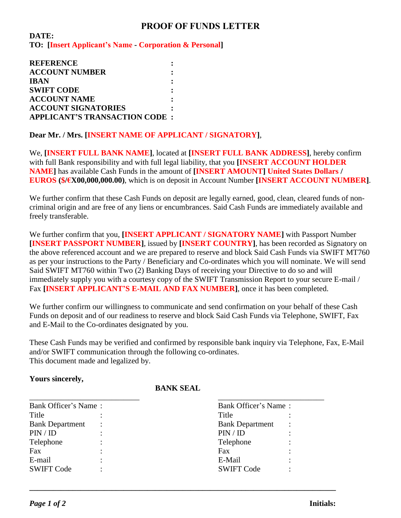## **PROOF OF FUNDS LETTER**

**DATE: TO: [Insert Applicant's Name - Corporation & Personal]**

**REFERENCE : ACCOUNT NUMBER : IBAN : SWIFT CODE : ACCOUNT NAME : ACCOUNT SIGNATORIES : APPLICANT'S TRANSACTION CODE :** 

**Dear Mr. / Mrs. [INSERT NAME OF APPLICANT / SIGNATORY]**,

We, **[INSERT FULL BANK NAME]**, located at **[INSERT FULL BANK ADDRESS]**, hereby confirm with full Bank responsibility and with full legal liability, that you **[INSERT ACCOUNT HOLDER NAME]** has available Cash Funds in the amount of **[INSERT AMOUNT] United States Dollars / EUROS (\$/€X00,000,000.00)**, which is on deposit in Account Number **[INSERT ACCOUNT NUMBER]**.

We further confirm that these Cash Funds on deposit are legally earned, good, clean, cleared funds of noncriminal origin and are free of any liens or encumbrances. Said Cash Funds are immediately available and freely transferable.

We further confirm that you, **[INSERT APPLICANT / SIGNATORY NAME]** with Passport Number **[INSERT PASSPORT NUMBER]**, issued by **[INSERT COUNTRY]**, has been recorded as Signatory on the above referenced account and we are prepared to reserve and block Said Cash Funds via SWIFT MT760 as per your instructions to the Party / Beneficiary and Co-ordinates which you will nominate. We will send Said SWIFT MT760 within Two (2) Banking Days of receiving your Directive to do so and will immediately supply you with a courtesy copy of the SWIFT Transmission Report to your secure E-mail / Fax **[INSERT APPLICANT'S E-MAIL AND FAX NUMBER]**, once it has been completed.

We further confirm our willingness to communicate and send confirmation on your behalf of these Cash Funds on deposit and of our readiness to reserve and block Said Cash Funds via Telephone, SWIFT, Fax and E-Mail to the Co-ordinates designated by you.

These Cash Funds may be verified and confirmed by responsible bank inquiry via Telephone, Fax, E-Mail and/or SWIFT communication through the following co-ordinates. This document made and legalized by.

## **Yours sincerely,**

## **BANK SEAL**

| Bank Officer's Name:   |                | Bank Officer's Name:   |   |
|------------------------|----------------|------------------------|---|
| Title                  |                | Title                  |   |
| <b>Bank Department</b> | $\ddot{\cdot}$ | <b>Bank Department</b> | ٠ |
| PIN / ID               |                | PIN / ID               |   |
| Telephone              |                | Telephone              |   |
| Fax                    |                | Fax                    |   |
| E-mail                 |                | E-Mail                 |   |
| <b>SWIFT Code</b>      |                | <b>SWIFT Code</b>      |   |

**\_\_\_\_\_\_\_\_\_\_\_\_\_\_\_\_\_\_\_\_\_\_\_\_\_\_\_\_\_\_\_\_\_\_\_\_\_\_\_\_\_\_\_\_\_\_\_\_\_\_\_\_\_\_\_\_\_\_\_\_\_\_\_\_\_\_\_\_\_\_\_\_\_\_\_\_\_\_**